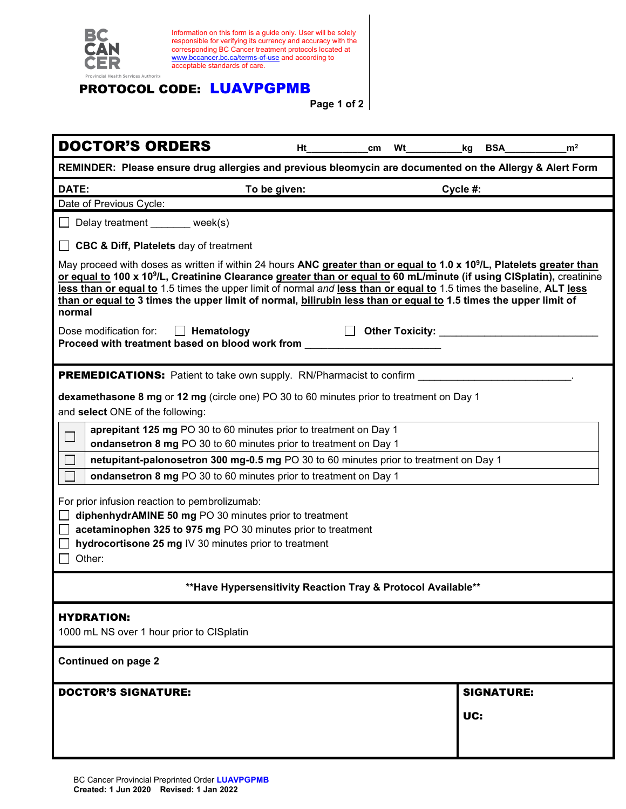| BC                                                              | Information on this form is a guide only. User will be solely<br>responsible for verifying its currency and accuracy with the<br>corresponding BC Cancer treatment protocols located at<br>www.bccancer.bc.ca/terms-of-use and according to<br>acceptable standards of care.                                                                                                                                                                                                                                                                                                                         |                 |                   |                |
|-----------------------------------------------------------------|------------------------------------------------------------------------------------------------------------------------------------------------------------------------------------------------------------------------------------------------------------------------------------------------------------------------------------------------------------------------------------------------------------------------------------------------------------------------------------------------------------------------------------------------------------------------------------------------------|-----------------|-------------------|----------------|
| vincial Health Services Authority                               | <b>PROTOCOL CODE: LUAVPGPMB</b>                                                                                                                                                                                                                                                                                                                                                                                                                                                                                                                                                                      | Page 1 of 2     |                   |                |
| <b>DOCTOR'S ORDERS</b>                                          | Ht                                                                                                                                                                                                                                                                                                                                                                                                                                                                                                                                                                                                   | Wt<br>cm        | <b>BSA</b><br>kg  | m <sup>2</sup> |
|                                                                 | REMINDER: Please ensure drug allergies and previous bleomycin are documented on the Allergy & Alert Form                                                                                                                                                                                                                                                                                                                                                                                                                                                                                             |                 |                   |                |
| DATE:<br>Date of Previous Cycle:                                | To be given:                                                                                                                                                                                                                                                                                                                                                                                                                                                                                                                                                                                         |                 | Cycle #:          |                |
|                                                                 | Delay treatment ______ week(s)                                                                                                                                                                                                                                                                                                                                                                                                                                                                                                                                                                       |                 |                   |                |
|                                                                 | $\Box$ CBC & Diff, Platelets day of treatment                                                                                                                                                                                                                                                                                                                                                                                                                                                                                                                                                        |                 |                   |                |
| normal<br>Dose modification for:                                | May proceed with doses as written if within 24 hours ANC greater than or equal to 1.0 x 10 <sup>9</sup> /L, Platelets greater than<br>or equal to 100 x 10 <sup>9</sup> /L, Creatinine Clearance greater than or equal to 60 mL/minute (if using CISplatin), creatinine<br>less than or equal to 1.5 times the upper limit of normal and less than or equal to 1.5 times the baseline, ALT less<br>than or equal to 3 times the upper limit of normal, bilirubin less than or equal to 1.5 times the upper limit of<br>Hematology<br>$\mathbf{1}$<br>Proceed with treatment based on blood work from | Other Toxicity: |                   |                |
| and select ONE of the following:<br>$\mathcal{L}_{\mathcal{A}}$ | dexamethasone 8 mg or 12 mg (circle one) PO 30 to 60 minutes prior to treatment on Day 1<br>aprepitant 125 mg PO 30 to 60 minutes prior to treatment on Day 1<br>ondansetron 8 mg PO 30 to 60 minutes prior to treatment on Day 1                                                                                                                                                                                                                                                                                                                                                                    |                 |                   |                |
|                                                                 | netupitant-palonosetron 300 mg-0.5 mg PO 30 to 60 minutes prior to treatment on Day 1                                                                                                                                                                                                                                                                                                                                                                                                                                                                                                                |                 |                   |                |
|                                                                 | ondansetron 8 mg PO 30 to 60 minutes prior to treatment on Day 1                                                                                                                                                                                                                                                                                                                                                                                                                                                                                                                                     |                 |                   |                |
| Other:                                                          | For prior infusion reaction to pembrolizumab:<br>diphenhydrAMINE 50 mg PO 30 minutes prior to treatment<br>acetaminophen 325 to 975 mg PO 30 minutes prior to treatment<br>hydrocortisone 25 mg IV 30 minutes prior to treatment                                                                                                                                                                                                                                                                                                                                                                     |                 |                   |                |
|                                                                 | ** Have Hypersensitivity Reaction Tray & Protocol Available**                                                                                                                                                                                                                                                                                                                                                                                                                                                                                                                                        |                 |                   |                |
| <b>HYDRATION:</b>                                               | 1000 mL NS over 1 hour prior to CISplatin                                                                                                                                                                                                                                                                                                                                                                                                                                                                                                                                                            |                 |                   |                |
| <b>Continued on page 2</b>                                      |                                                                                                                                                                                                                                                                                                                                                                                                                                                                                                                                                                                                      |                 |                   |                |
| <b>DOCTOR'S SIGNATURE:</b>                                      |                                                                                                                                                                                                                                                                                                                                                                                                                                                                                                                                                                                                      |                 | <b>SIGNATURE:</b> |                |
|                                                                 |                                                                                                                                                                                                                                                                                                                                                                                                                                                                                                                                                                                                      |                 | UC:               |                |
|                                                                 |                                                                                                                                                                                                                                                                                                                                                                                                                                                                                                                                                                                                      |                 |                   |                |